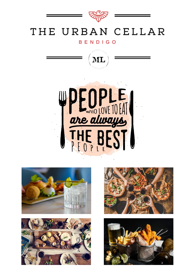

## THE URBAN CELLAR

#### **BENDIGO**











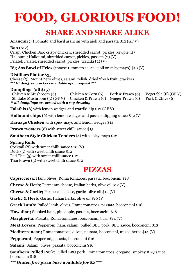# **FOOD, GLORIOUS FOOD!**

## **SHARE AND SHARE ALIKE**

**Arancini** (4) Tomato and basil arancini with aioli and passata \$12 (GF V)

**Bao** (\$12) Crispy Chicken Bao; crispy chicken, shredded carrot, pickles, kewpie (2) Halloumi; Halloumi, shredded carrot, pickles, passata (2) (V) Falafel; Falafel, shredded carrot, pickles, tzatziki (2) (V)

**Big Ass Bowl of Fries** (choose 1: tomato sauce, aioli or spicy mayo) \$10 (V)

#### **Distillers Platter** \$35

Cheese (3), Mount Zero olives, salami, relish, dried/fresh fruit, crackers *\*\*\* Gluten free crackers available upon request \*\*\**

#### **Dumplings (all \$15)**

Chicken & Mushroom (6) Chicken & Corn (6) Pork & Prawn (6) Vegetable (6) (GF V) Shiitake Mushroom (5) (GF V) Chicken & Prawn (6) Ginger Prawn (6) Pork & Chive (6) *\*\* all dumplings are served with a soy dressing* 

**Falafels** (8) with lemon wedges and tzatziki dip \$12 (GF V)

**Halloumi chips** (6) with lemon wedges and passata dipping sauce \$12 (V)

**Karaage Chicken** with spicy mayo and lemon wedges \$14

**Prawn twisters** (6) with sweet chilli sauce \$15

**Southern Style Chicken Tenders** (4) with spicy mayo \$12

#### **Spring Rolls**

Cocktail (8) with sweet chilli sauce \$10 (V) Duck (5) with sweet chilli sauce \$12 Pad Thai (5) with sweet chilli sauce \$12 Thai Prawn (5) with sweet chilli sauce \$12

## **PIZZAS**

**Capricciosa**; Ham, olives, Roma tomatoes, passata, bocconcini \$18

**Cheese & Herb**; Parmesan cheese, Italian herbs, olive oil \$12 (V)

**Cheese & Garlic;** Parmesan cheese, garlic, olive oil \$12 (V)

**Garlic & Herb**; Garlic, Italian herbs, olive oil \$10 (V)

**Greek Lamb;** Pulled lamb, olives, Roma tomatoes, passata, bocconcini \$18

**Hawaiian;** Smoked ham, pineapple, passata, bocconcini \$16

**Margherita**; Passata, Roma tomatoes, bocconcini, basil \$14 (V)

**Meat Lovers;** Pepperoni, ham, salami, pulled BBQ pork, BBQ sauce, bocconcini \$18

**Mediterranean;** Roma tomatoes, olives, passata, bocconcini, mixed herbs \$14 (V)

**Pepperoni**; Pepperoni, passata, bocconcini \$16

**Salami;** Salami, olives, passata, bocconcini \$16

**Southern Pulled Pork**; Pulled BBQ pork, Roma tomatoes, oregano, smokey BBQ sauce, bocconcini \$18

*\*\*\* Gluten free pizza base available for \$2 \*\*\**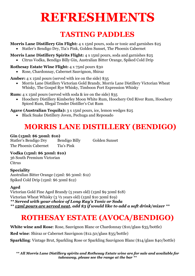## **REFRESHMENTS**

## **TASTING PADDLES**

**Morris Lane Distillery Gin Flight:** 4 x 15ml pours, soda or tonic and garnishes \$25

• Statler's Bendigo Dry, Tia's Pink, Golden Sunset, The Phoenix Cabernet

**Morris Lane Distillery Spirits Flight:** 4 x 15ml pours, soda and garnishes \$25 • Citrus Vodka, Bendigo Billy Gin, Australian Bitter Orange, Spiked Cold Drip

#### **Rothesay Estate Wine Flight:** 4 x 75ml pours \$30

• Rose, Chardonnay, Cabernet Sauvignon, Shiraz

**Amber:** 4 x 15ml pours (served with ice on the side) \$35

• Morris Lane Distillery Victorian Gold Brandy, Morris Lane Distillery Victorian Wheat Whisky, The Gospel Rye Whisky, Timboon Port Expression Whisky

**Rum:** 4 x 15ml pours (served with soda & ice on the side) \$35

• Hoochery Distillery Kimberley Moon White Rum, Hoochery Ord River Rum, Hoochery Spiced Rum, Illegal Tender Distiller's Cut Rum

**Agave (Australian Tequila):** 3 x 15ml pours, ice, lemon wedges \$25

• Black Snake Distillery Joven, Pechuga and Reposado

## **MORRIS LANE DISTILLERY (BENDIGO)**

#### **Gin (15ml: \$6 30ml: \$10)**

Statler's Bendigo Dry Bendigo Billy Golden Sunset The Phoenix Cabernet Tia's Pink

#### **Vodka (15ml: \$6 30ml: \$10)**

36 South Premium Victorian **Citrus** 

#### **Speciality**

Australian Bitter Orange (15ml: \$6 30ml: \$12) Spiked Cold Drip (15ml: \$6 30ml \$12)

#### **Aged**

Victorian Gold Fine Aged Brandy (5 years old) (15ml \$9 30ml \$18) Victorian Wheat Whisky (3 ½ years old) (15ml \$10 30ml \$19)

*\*\* Served with your choice of Long Ray's Tonic or Soda \*\* 15ml pours are served neat, add \$3 if would like to add a soft drink/mixer \*\**

## **ROTHESAY ESTATE (AVOCA/BENDIGO)**

**White wine and Rose**: Rose, Sauvignon Blanc or Chardonnay (\$10/glass \$35/bottle)

**Red wine**: Shiraz or Cabernet Sauvignon (\$12.50/glass \$35/bottle)

**Sparkling**: Vintage Brut, Sparkling Rose or Sparkling Sauvignon Blanc (\$14/glass \$40/bottle)

*\*\* All Morris Lane Distillery spirits and Rothesay Estate wine are for sale and available for takeaway, please see the range at the bar \*\**